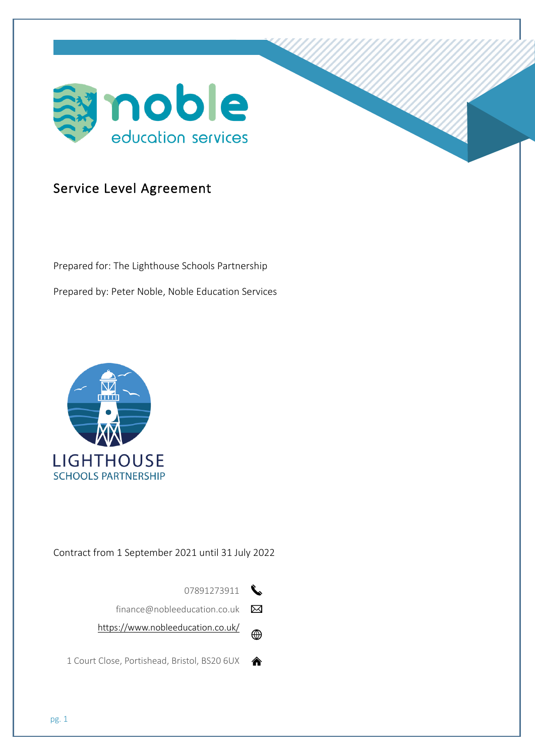

# Service Level Agreement

Prepared for: The Lighthouse Schools Partnership Prepared by: Peter Noble, Noble Education Services



# Contract from 1 September 2021 until 31 July 2022



finance@nobleeducation.co.uk  $\boxtimes$ 

https://www.nobleeducation.co.uk/  $\bigoplus$ 

1 Court Close, Portishead, Bristol, BS20 6UX  $\quad \, \blacktriangleleft$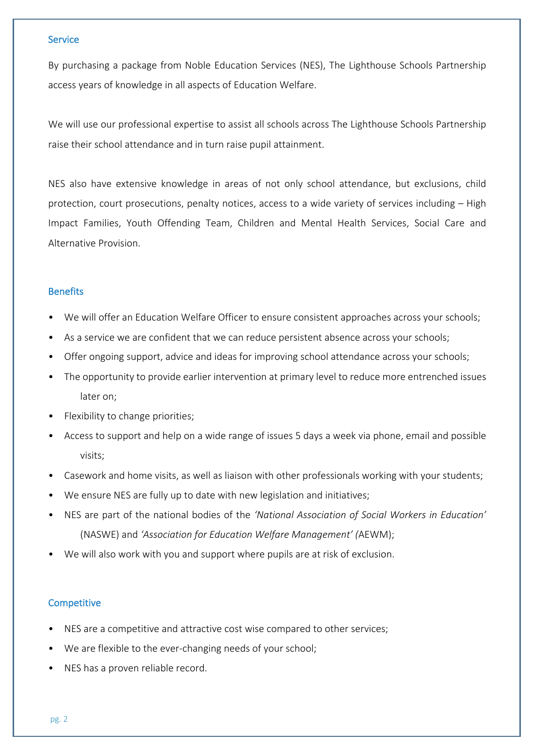#### **Service**

By purchasing a package from Noble Education Services (NES), The Lighthouse Schools Partnership access years of knowledge in all aspects of Education Welfare.

We will use our professional expertise to assist all schools across The Lighthouse Schools Partnership raise their school attendance and in turn raise pupil attainment.

NES also have extensive knowledge in areas of not only school attendance, but exclusions, child protection, court prosecutions, penalty notices, access to a wide variety of services including – High Impact Families, Youth Offending Team, Children and Mental Health Services, Social Care and Alternative Provision.

## **Benefits**

- We will offer an Education Welfare Officer to ensure consistent approaches across your schools;
- As a service we are confident that we can reduce persistent absence across your schools;
- Offer ongoing support, advice and ideas for improving school attendance across your schools;
- The opportunity to provide earlier intervention at primary level to reduce more entrenched issues later on;
- Flexibility to change priorities;
- Access to support and help on a wide range of issues 5 days a week via phone, email and possible visits;
- Casework and home visits, as well as liaison with other professionals working with your students;
- We ensure NES are fully up to date with new legislation and initiatives;
- NES are part of the national bodies of the *'National Association of Social Workers in Education'* (NASWE) and *'Association for Education Welfare Management' (*AEWM);
- We will also work with you and support where pupils are at risk of exclusion.

#### **Competitive**

- NES are a competitive and attractive cost wise compared to other services;
- We are flexible to the ever-changing needs of your school;
- NES has a proven reliable record.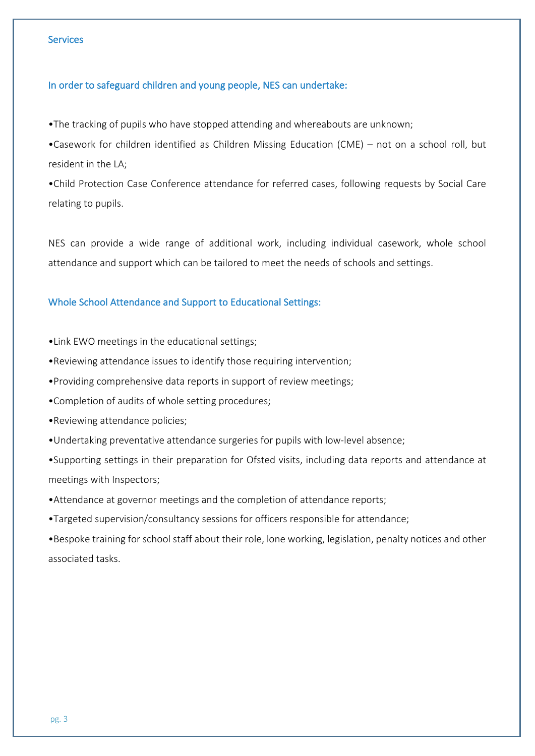#### **Services**

## In order to safeguard children and young people, NES can undertake:

•The tracking of pupils who have stopped attending and whereabouts are unknown;

•Casework for children identified as Children Missing Education (CME) – not on a school roll, but resident in the LA;

•Child Protection Case Conference attendance for referred cases, following requests by Social Care relating to pupils.

NES can provide a wide range of additional work, including individual casework, whole school attendance and support which can be tailored to meet the needs of schools and settings.

# Whole School Attendance and Support to Educational Settings:

•Link EWO meetings in the educational settings;

•Reviewing attendance issues to identify those requiring intervention;

b •Providing comprehensive data reports in support of review meetings;

•Completion of audits of whole setting procedures;

•Reviewing attendance policies;

•Undertaking preventative attendance surgeries for pupils with low-level absence;

•Supporting settings in their preparation for Ofsted visits, including data reports and attendance at meetings with Inspectors;

•Attendance at governor meetings and the completion of attendance reports;

•Targeted supervision/consultancy sessions for officers responsible for attendance;

•Bespoke training for school staff about their role, lone working, legislation, penalty notices and other associated tasks.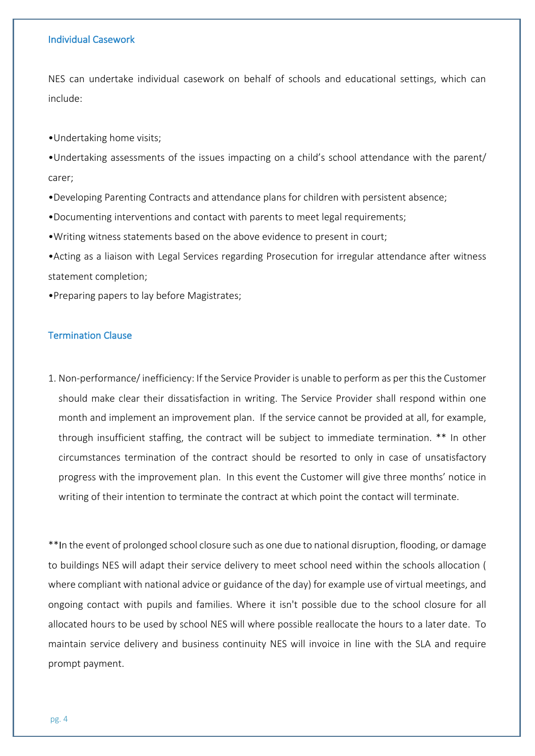#### Individual Casework

NES can undertake individual casework on behalf of schools and educational settings, which can include:

•Undertaking home visits;

•Undertaking assessments of the issues impacting on a child's school attendance with the parent/ carer;

•Developing Parenting Contracts and attendance plans for children with persistent absence;

•Documenting interventions and contact with parents to meet legal requirements;

•Writing witness statements based on the above evidence to present in court;

•Acting as a liaison with Legal Services regarding Prosecution for irregular attendance after witness statement completion;

•Preparing papers to lay before Magistrates;

#### Termination Clause

1. Non-performance/inefficiency: If the Service Provider is unable to perform as per this the Customer should make clear their dissatisfaction in writing. The Service Provider shall respond within one month and implement an improvement plan. If the service cannot be provided at all, for example, through insufficient staffing, the contract will be subject to immediate termination. \*\* In other circumstances termination of the contract should be resorted to only in case of unsatisfactory progress with the improvement plan. In this event the Customer will give three months' notice in writing of their intention to terminate the contract at which point the contact will terminate.

\*\*In the event of prolonged school closure such as one due to national disruption, flooding, or damage to buildings NES will adapt their service delivery to meet school need within the schools allocation ( where compliant with national advice or guidance of the day) for example use of virtual meetings, and ongoing contact with pupils and families. Where it isn't possible due to the school closure for all allocated hours to be used by school NES will where possible reallocate the hours to a later date. To maintain service delivery and business continuity NES will invoice in line with the SLA and require prompt payment.